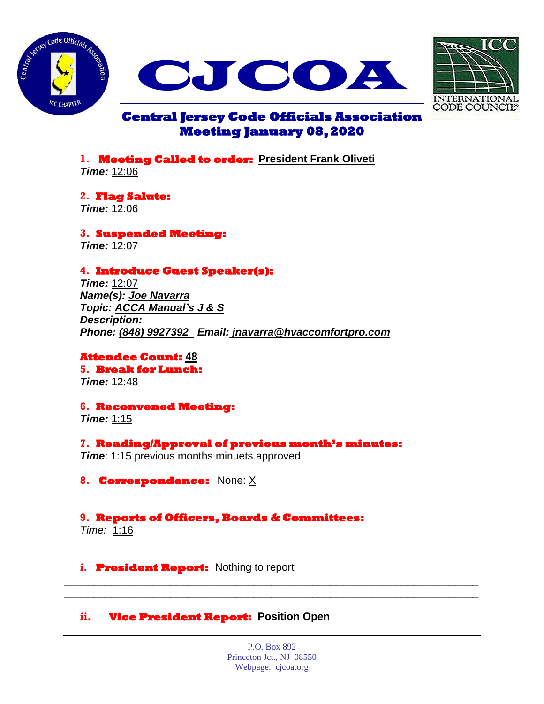





# **Central Jersey Code Officials Association Meeting January 08, 2020**

**1. Meeting Called to order: President Frank Oliveti**  *Time:* 12:06

**2. Flag Salute:**  *Time:* 12:06

**3. Suspended Meeting:**  *Time:* 12:07

# **4. Introduce Guest Speaker(s):**

*Time:* 12:07 *Name(s): Joe Navarra Topic: ACCA Manual's J & S Description: Phone: (848) 9927392 Email: jnavarra@hvaccomfortpro.com*

**Attendee Count: 48 5. Break for Lunch:**  *Time:* 12:48

**6. Reconvened Meeting:**  *Time:* 1:15

**7. Reading/Approval of previous month's minutes:**  *Time*: 1:15 previous months minuets approved

**8. Correspondence:** None: X

## **9. Reports of Officers, Boards & Committees:**

*Time:* 1:16

**i. President Report:** Nothing to report

## **ii. Vice President Report: Position Open**

P.O. Box 892 Princeton Jct., NJ 08550 Webpage: cjcoa.org

\_\_\_\_\_\_\_\_\_\_\_\_\_\_\_\_\_\_\_\_\_\_\_\_\_\_\_\_\_\_\_\_\_\_\_\_\_\_\_\_\_\_\_\_\_\_\_\_\_\_\_\_\_\_\_\_\_\_\_\_\_\_\_\_\_\_\_\_\_\_ \_\_\_\_\_\_\_\_\_\_\_\_\_\_\_\_\_\_\_\_\_\_\_\_\_\_\_\_\_\_\_\_\_\_\_\_\_\_\_\_\_\_\_\_\_\_\_\_\_\_\_\_\_\_\_\_\_\_\_\_\_\_\_\_\_\_\_\_\_\_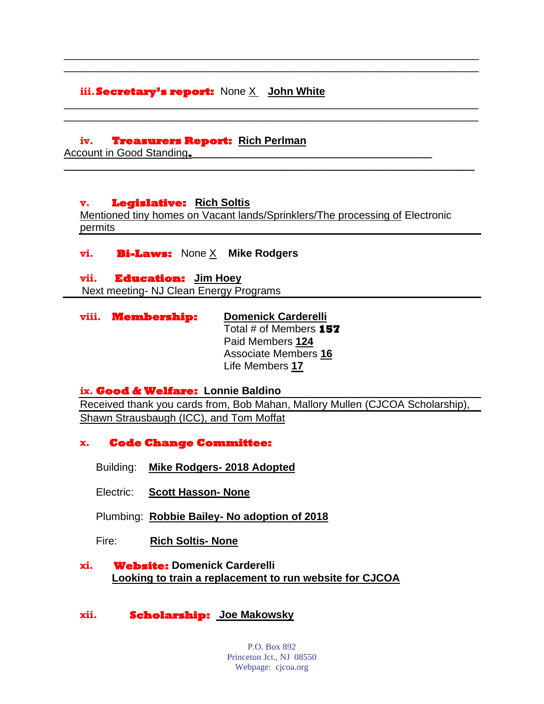## **iii.Secretary's report:** None X **John White**

#### **iv. Treasurers Report: Rich Perlman**

Account in Good Standing.

#### **v. Legislative: Rich Soltis**

Mentioned tiny homes on Vacant lands/Sprinklers/The processing of Electronic permits

\_\_\_\_\_\_\_\_\_\_\_\_\_\_\_\_\_\_\_\_\_\_\_\_\_\_\_\_\_\_\_\_\_\_\_\_\_\_\_\_\_\_\_\_\_\_\_\_\_\_\_\_\_\_\_\_\_\_\_\_\_\_\_\_\_\_\_\_\_\_ \_\_\_\_\_\_\_\_\_\_\_\_\_\_\_\_\_\_\_\_\_\_\_\_\_\_\_\_\_\_\_\_\_\_\_\_\_\_\_\_\_\_\_\_\_\_\_\_\_\_\_\_\_\_\_\_\_\_\_\_\_\_\_\_\_\_\_\_\_\_

\_\_\_\_\_\_\_\_\_\_\_\_\_\_\_\_\_\_\_\_\_\_\_\_\_\_\_\_\_\_\_\_\_\_\_\_\_\_\_\_\_\_\_\_\_\_\_\_\_\_\_\_\_\_\_\_\_\_\_\_\_\_\_\_\_\_\_\_\_\_ \_\_\_\_\_\_\_\_\_\_\_\_\_\_\_\_\_\_\_\_\_\_\_\_\_\_\_\_\_\_\_\_\_\_\_\_\_\_\_\_\_\_\_\_\_\_\_\_\_\_\_\_\_\_\_\_\_\_\_\_\_\_\_\_\_\_\_\_\_\_

**\_\_\_\_\_\_\_\_\_\_\_\_\_\_\_\_\_\_\_\_\_\_\_\_\_\_\_\_\_\_\_\_\_\_\_\_\_\_\_\_\_\_\_\_\_\_\_\_\_\_\_\_\_\_\_\_\_\_\_\_\_\_\_\_\_\_\_\_\_\_\_\_\_\_\_\_\_**

#### **vi. Bi-Laws:** None X **Mike Rodgers**

#### **vii. Education: Jim Hoey**

Next meeting- NJ Clean Energy Programs

| viii. Membership: | <b>Domenick Carderelli</b>  |
|-------------------|-----------------------------|
|                   | Total # of Members 157      |
|                   | Paid Members 124            |
|                   | <b>Associate Members 16</b> |
|                   | Life Members 17             |

### **ix. Good & Welfare: Lonnie Baldino**

Received thank you cards from, Bob Mahan, Mallory Mullen (CJCOA Scholarship), Shawn Strausbaugh (ICC), and Tom Moffat

### **x. Code Change Committee:**

- Building: **Mike Rodgers- 2018 Adopted**
- Electric: **Scott Hasson- None**
- Plumbing: **Robbie Bailey- No adoption of 2018**
- Fire: **Rich Soltis- None**

### **xi. Website: Domenick Carderelli Looking to train a replacement to run website for CJCOA**

## **xii. Scholarship: Joe Makowsky**

P.O. Box 892 Princeton Jct., NJ 08550 Webpage: cjcoa.org